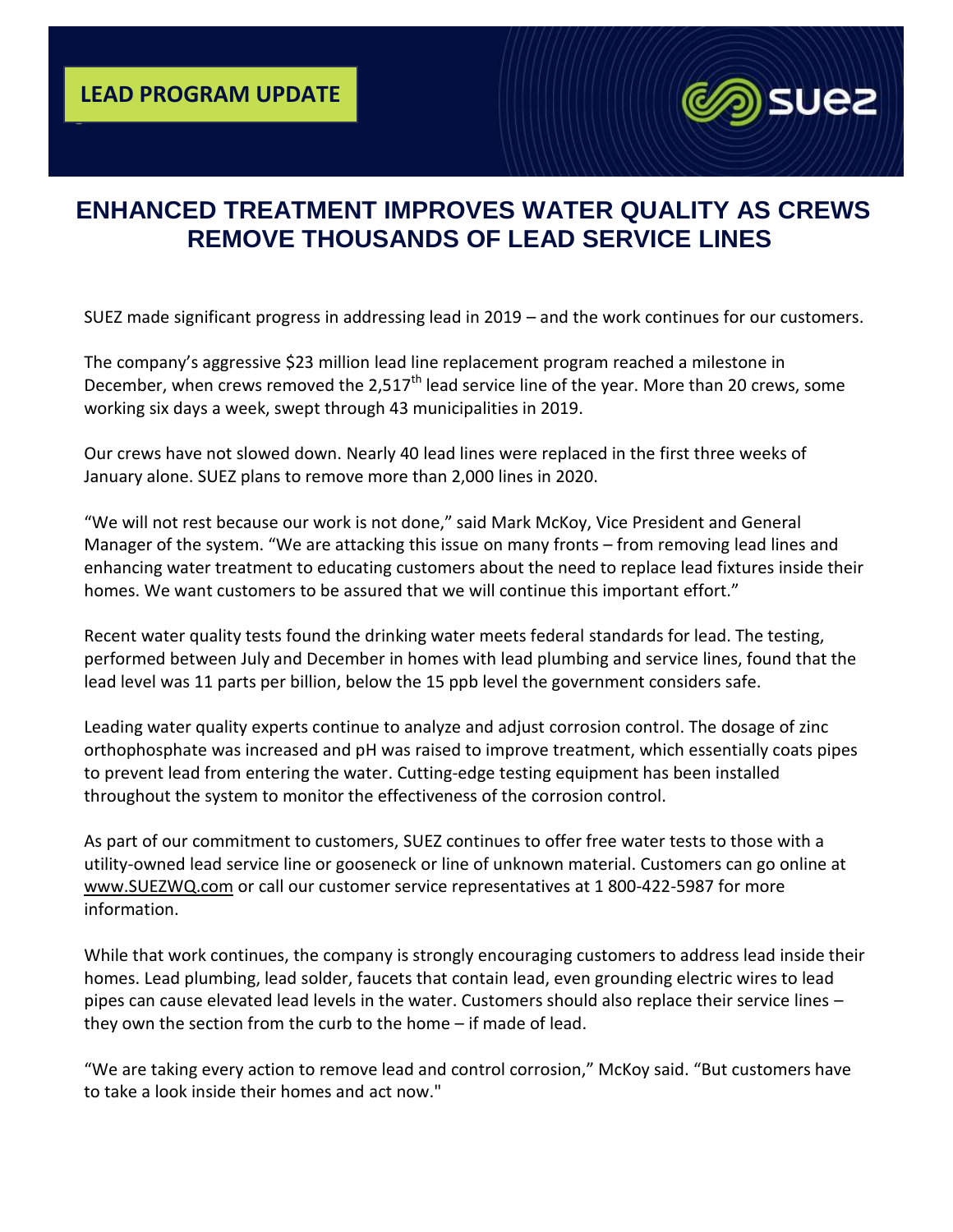

## **ENHANCED TREATMENT IMPROVES WATER QUALITY AS CREWS REMOVE THOUSANDS OF LEAD SERVICE LINES**

SUEZ made significant progress in addressing lead in 2019 – and the work continues for our customers.

The company's aggressive \$23 million lead line replacement program reached a milestone in December, when crews removed the 2,517<sup>th</sup> lead service line of the year. More than 20 crews, some working six days a week, swept through 43 municipalities in 2019.

Our crews have not slowed down. Nearly 40 lead lines were replaced in the first three weeks of January alone. SUEZ plans to remove more than 2,000 lines in 2020.

"We will not rest because our work is not done," said Mark McKoy, Vice President and General Manager of the system. "We are attacking this issue on many fronts – from removing lead lines and enhancing water treatment to educating customers about the need to replace lead fixtures inside their homes. We want customers to be assured that we will continue this important effort."

Recent water quality tests found the drinking water meets federal standards for lead. The testing, performed between July and December in homes with lead plumbing and service lines, found that the lead level was 11 parts per billion, below the 15 ppb level the government considers safe.

Leading water quality experts continue to analyze and adjust corrosion control. The dosage of zinc orthophosphate was increased and pH was raised to improve treatment, which essentially coats pipes to prevent lead from entering the water. Cutting-edge testing equipment has been installed throughout the system to monitor the effectiveness of the corrosion control.

As part of our commitment to customers, SUEZ continues to offer free water tests to those with a utility-owned lead service line or gooseneck or line of unknown material. Customers can go online at [www.SUEZWQ.com](http://www.suezwq.com/) or call our customer service representatives at 1 800-422-5987 for more information.

While that work continues, the company is strongly encouraging customers to address lead inside their homes. Lead plumbing, lead solder, faucets that contain lead, even grounding electric wires to lead pipes can cause elevated lead levels in the water. Customers should also replace their service lines – they own the section from the curb to the home – if made of lead.

"We are taking every action to remove lead and control corrosion," McKoy said. "But customers have to take a look inside their homes and act now."